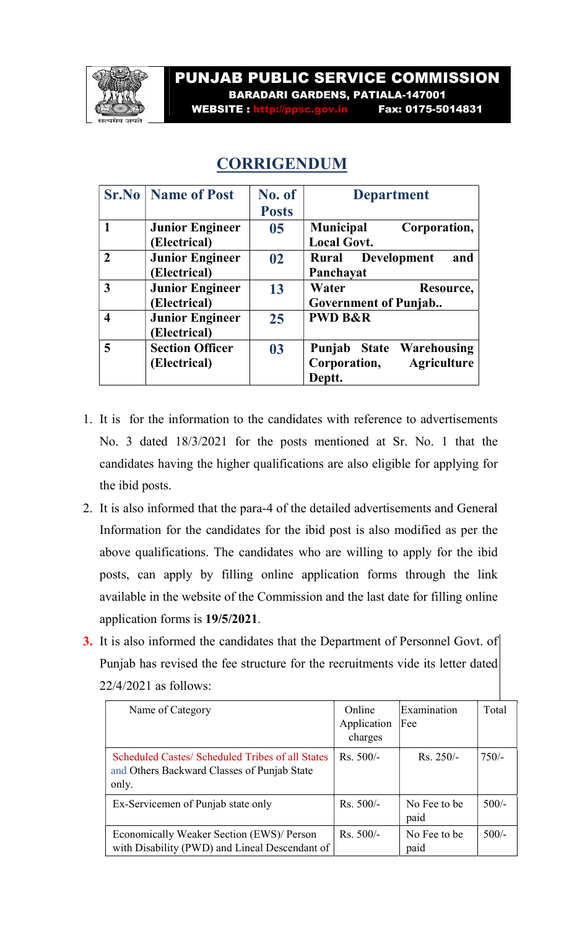

## PUNJAB PUBLIC SERVICE COMMISSION

BARADARI GARDENS, PATIALA-147001 WEBSITE : http://ppsc.gov.in Fax: 0175-5014831

|                          | <b>Sr.No   Name of Post</b> | No. of         | <b>Department</b>                  |
|--------------------------|-----------------------------|----------------|------------------------------------|
|                          |                             | <b>Posts</b>   |                                    |
|                          | <b>Junior Engineer</b>      | 0 <sub>5</sub> | Corporation,<br><b>Municipal</b>   |
|                          | (Electrical)                |                | <b>Local Govt.</b>                 |
| $\overline{2}$           | <b>Junior Engineer</b>      | $\mathbf{02}$  | Rural Development<br>and           |
|                          | (Electrical)                |                | Panchayat                          |
| 3                        | <b>Junior Engineer</b>      | 13             | Water<br>Resource,                 |
|                          | (Electrical)                |                | <b>Government of Punjab</b>        |
| $\overline{\mathcal{A}}$ | <b>Junior Engineer</b>      | 25             | <b>PWD B&amp;R</b>                 |
|                          | (Electrical)                |                |                                    |
| 5                        | <b>Section Officer</b>      | 0 <sub>3</sub> | Punjab State Warehousing           |
|                          | (Electrical)                |                | Corporation,<br><b>Agriculture</b> |
|                          |                             |                | Deptt.                             |

## CORRIGENDUM

- 1. It is for the information to the candidates with reference to advertisements No. 3 dated 18/3/2021 for the posts mentioned at Sr. No. 1 that the candidates having the higher qualifications are also eligible for applying for the ibid posts.
- 2. It is also informed that the para-4 of the detailed advertisements and General Information for the candidates for the ibid post is also modified as per the above qualifications. The candidates who are willing to apply for the ibid posts, can apply by filling online application forms through the link available in the website of the Commission and the last date for filling online application forms is 19/5/2021.
- 3. It is also informed the candidates that the Department of Personnel Govt. of Punjab has revised the fee structure for the recruitments vide its letter dated 22/4/2021 as follows:

| Name of Category                                                                                         | Online<br>Application<br>charges | Examination<br>Fee   | Total   |
|----------------------------------------------------------------------------------------------------------|----------------------------------|----------------------|---------|
| Scheduled Castes/ Scheduled Tribes of all States<br>and Others Backward Classes of Punjab State<br>only. | $Rs. 500/-$                      | $Rs. 250/-$          | $750/-$ |
| Ex-Servicemen of Punjab state only                                                                       | $Rs. 500/-$                      | No Fee to be<br>paid | $500/-$ |
| Economically Weaker Section (EWS)/ Person<br>with Disability (PWD) and Lineal Descendant of              | $Rs. 500/-$                      | No Fee to be<br>paid | $500/-$ |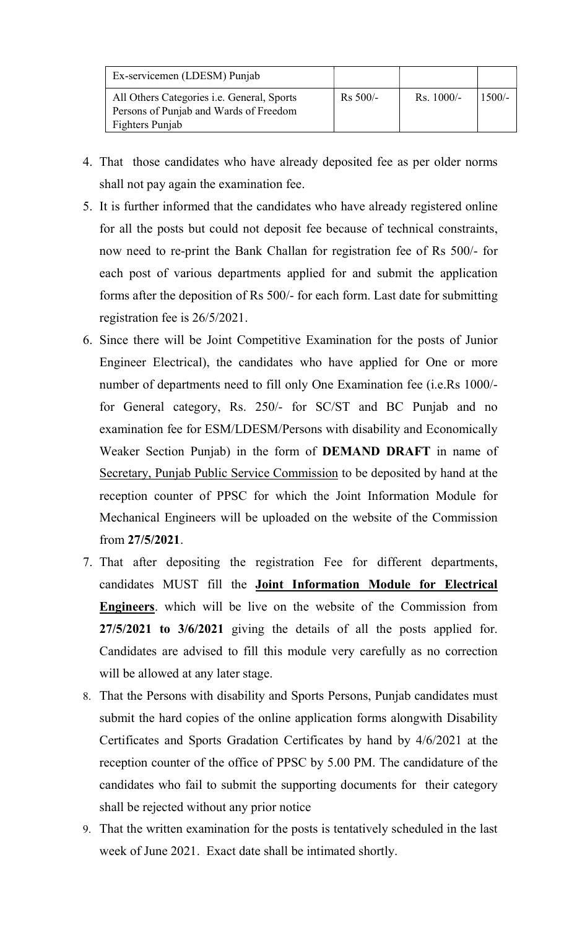| Ex-servicemen (LDESM) Punjab                                                                                   |            |              |          |
|----------------------------------------------------------------------------------------------------------------|------------|--------------|----------|
| All Others Categories <i>i.e.</i> General, Sports<br>Persons of Punjab and Wards of Freedom<br>Fighters Punjab | $Rs 500/-$ | $Rs. 1000/-$ | $1500/-$ |

- 4. That those candidates who have already deposited fee as per older norms shall not pay again the examination fee.
- 5. It is further informed that the candidates who have already registered online for all the posts but could not deposit fee because of technical constraints, now need to re-print the Bank Challan for registration fee of Rs 500/- for each post of various departments applied for and submit the application forms after the deposition of Rs 500/- for each form. Last date for submitting registration fee is 26/5/2021.
- 6. Since there will be Joint Competitive Examination for the posts of Junior Engineer Electrical), the candidates who have applied for One or more number of departments need to fill only One Examination fee (i.e.Rs 1000/ for General category, Rs. 250/- for SC/ST and BC Punjab and no examination fee for ESM/LDESM/Persons with disability and Economically Weaker Section Punjab) in the form of DEMAND DRAFT in name of Secretary, Punjab Public Service Commission to be deposited by hand at the reception counter of PPSC for which the Joint Information Module for Mechanical Engineers will be uploaded on the website of the Commission from 27/5/2021.
- 7. That after depositing the registration Fee for different departments, candidates MUST fill the Joint Information Module for Electrical Engineers. which will be live on the website of the Commission from 27/5/2021 to 3/6/2021 giving the details of all the posts applied for. Candidates are advised to fill this module very carefully as no correction will be allowed at any later stage.
- 8. That the Persons with disability and Sports Persons, Punjab candidates must submit the hard copies of the online application forms alongwith Disability Certificates and Sports Gradation Certificates by hand by 4/6/2021 at the reception counter of the office of PPSC by 5.00 PM. The candidature of the candidates who fail to submit the supporting documents for their category shall be rejected without any prior notice
- 9. That the written examination for the posts is tentatively scheduled in the last week of June 2021. Exact date shall be intimated shortly.